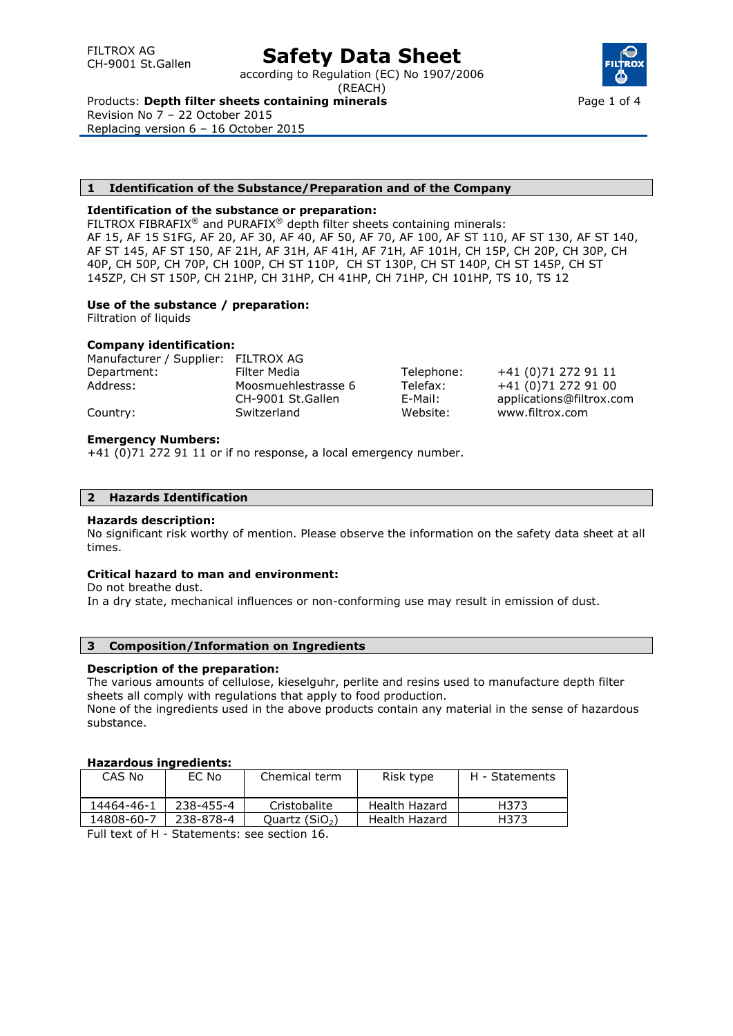# **Safety Data Sheet**

according to Regulation (EC) No 1907/2006 (REACH)

Products: **Depth filter sheets containing minerals**

Revision No 7 – 22 October 2015 Replacing version 6 – 16 October 2015

### **1 Identification of the Substance/Preparation and of the Company**

### **Identification of the substance or preparation:**

FILTROX FIBRAFIX<sup>®</sup> and PURAFIX<sup>®</sup> depth filter sheets containing minerals: AF 15, AF 15 S1FG, AF 20, AF 30, AF 40, AF 50, AF 70, AF 100, AF ST 110, AF ST 130, AF ST 140, AF ST 145, AF ST 150, AF 21H, AF 31H, AF 41H, AF 71H, AF 101H, CH 15P, CH 20P, CH 30P, CH 40P, CH 50P, CH 70P, CH 100P, CH ST 110P, CH ST 130P, CH ST 140P, CH ST 145P, CH ST 145ZP, CH ST 150P, CH 21HP, CH 31HP, CH 41HP, CH 71HP, CH 101HP, TS 10, TS 12

## **Use of the substance / preparation:**

Filtration of liquids

### **Company identification:**

| Manufacturer / Supplier: FILTROX AG |                     |            |                          |
|-------------------------------------|---------------------|------------|--------------------------|
| Department:                         | Filter Media        | Telephone: | +41 (0)71 272 91 11      |
| Address:                            | Moosmuehlestrasse 6 | Telefax:   | +41 (0)71 272 91 00      |
|                                     | CH-9001 St.Gallen   | E-Mail:    | applications@filtrox.com |
| Country:                            | Switzerland         | Website:   | www.filtrox.com          |

### **Emergency Numbers:**

+41 (0)71 272 91 11 or if no response, a local emergency number.

### **2 Hazards Identification**

### **Hazards description:**

No significant risk worthy of mention. Please observe the information on the safety data sheet at all times.

### **Critical hazard to man and environment:**

Do not breathe dust.

In a dry state, mechanical influences or non-conforming use may result in emission of dust.

# **3 Composition/Information on Ingredients**

### **Description of the preparation:**

The various amounts of cellulose, kieselguhr, perlite and resins used to manufacture depth filter sheets all comply with regulations that apply to food production.

None of the ingredients used in the above products contain any material in the sense of hazardous substance.

### **Hazardous ingredients:**

| CAS No     | EC No         | Chemical term   | Risk type     | H - Statements |
|------------|---------------|-----------------|---------------|----------------|
| 14464-46-1 | 238-455-4     | Cristobalite    | Health Hazard | H373           |
| 14808-60-7 | 238-878-4     | Ouartz $(SiO2)$ | Health Hazard | H373           |
| _          | $\sim$ $\sim$ |                 |               |                |

Full text of H - Statements: see section 16.

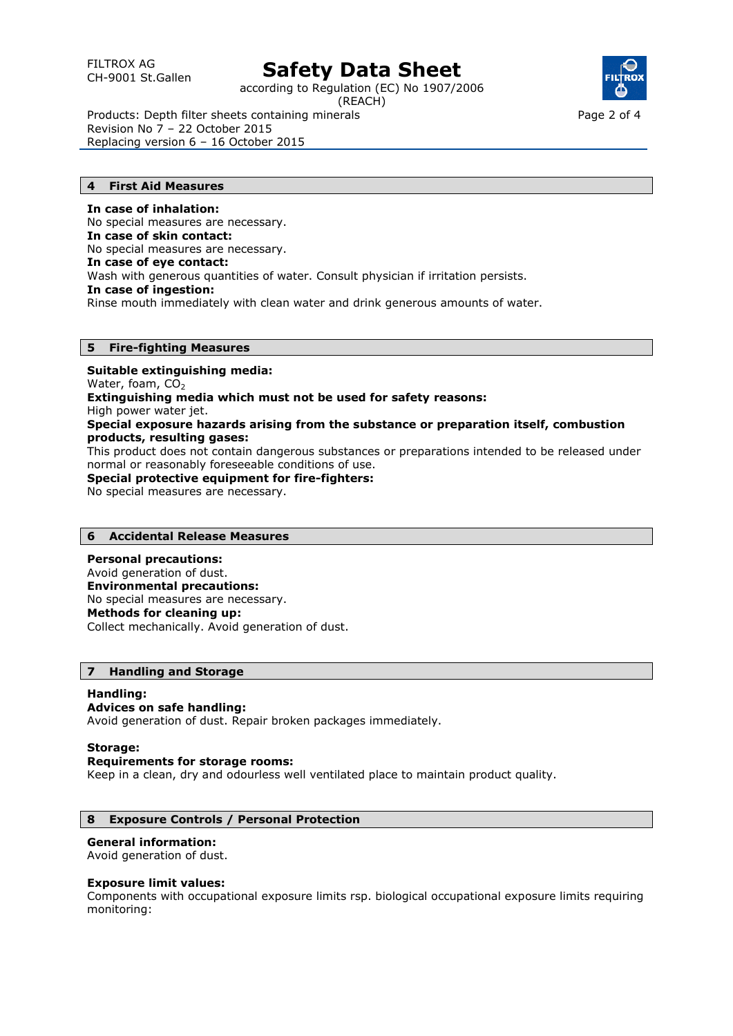# CH-9001 St.Gallen **Safety Data Sheet**

according to Regulation (EC) No 1907/2006 (REACH)



Page 2 of 4

Products: Depth filter sheets containing minerals Revision No 7 – 22 October 2015 Replacing version 6 – 16 October 2015

### **4 First Aid Measures**

**In case of inhalation:**  No special measures are necessary. **In case of skin contact:**  No special measures are necessary. **In case of eye contact:**  Wash with generous quantities of water. Consult physician if irritation persists. **In case of ingestion:**  Rinse mouth immediately with clean water and drink generous amounts of water.

## **5 Fire-fighting Measures**

**Suitable extinguishing media:**  Water, foam,  $CO<sub>2</sub>$ **Extinguishing media which must not be used for safety reasons:**  High power water jet. **Special exposure hazards arising from the substance or preparation itself, combustion products, resulting gases:**  This product does not contain dangerous substances or preparations intended to be released under normal or reasonably foreseeable conditions of use. **Special protective equipment for fire-fighters:**  No special measures are necessary.

# **6 Accidental Release Measures**

**Personal precautions:**  Avoid generation of dust. **Environmental precautions:**  No special measures are necessary. **Methods for cleaning up:**  Collect mechanically. Avoid generation of dust.

### **7 Handling and Storage**

#### **Handling: Advices on safe handling:**

Avoid generation of dust. Repair broken packages immediately.

### **Storage:**

### **Requirements for storage rooms:**

Keep in a clean, dry and odourless well ventilated place to maintain product quality.

# **8 Exposure Controls / Personal Protection**

### **General information:**

Avoid generation of dust.

### **Exposure limit values:**

Components with occupational exposure limits rsp. biological occupational exposure limits requiring monitoring: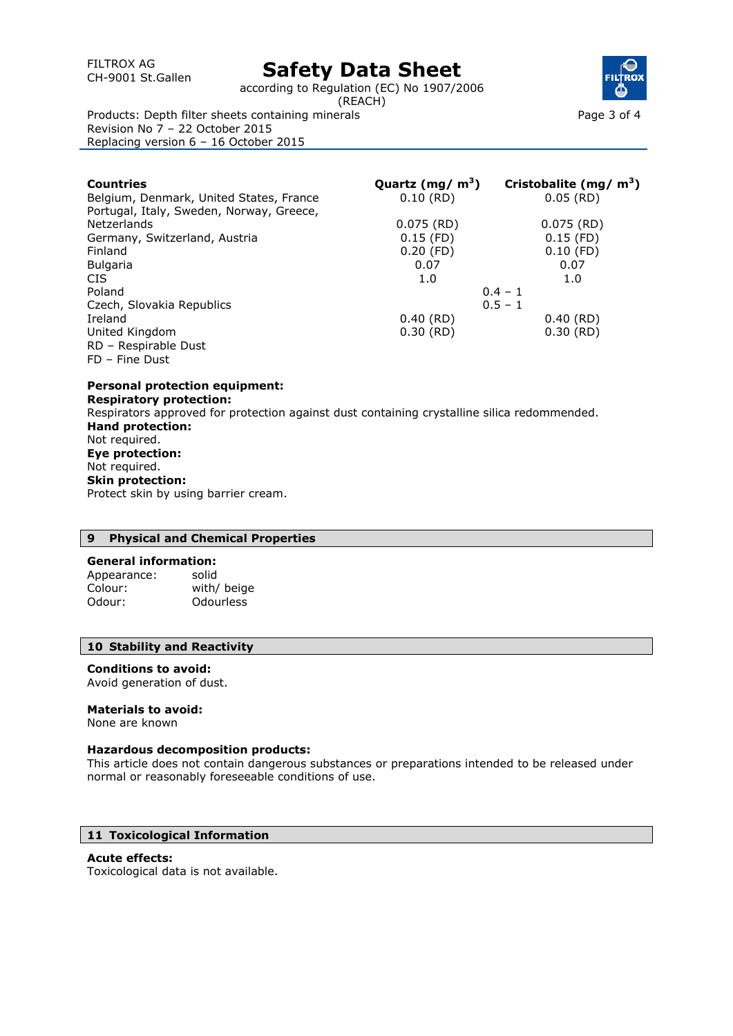# CH-9001 St.Gallen **Safety Data Sheet**

according to Regulation (EC) No 1907/2006

(REACH)



Page 3 of 4

Products: Depth filter sheets containing minerals Revision No 7 – 22 October 2015 Replacing version 6 – 16 October 2015

| Countries                                | Quartz (mg/ $m3$ ) | Cristobalite (mg/ $m3$ ) |
|------------------------------------------|--------------------|--------------------------|
| Belgium, Denmark, United States, France  | $0.10$ (RD)        | $0.05$ (RD)              |
| Portugal, Italy, Sweden, Norway, Greece, |                    |                          |
| <b>Netzerlands</b>                       | $0.075$ (RD)       | $0.075$ (RD)             |
| Germany, Switzerland, Austria            | $0.15$ (FD)        | $0.15$ (FD)              |
| Finland                                  | $0.20$ (FD)        | $0.10$ (FD)              |
| <b>Bulgaria</b>                          | 0.07               | 0.07                     |
| CIS.                                     | 1.0                | 1.0                      |
| Poland                                   | $0.4 - 1$          |                          |
| Czech, Slovakia Republics                |                    | $0.5 - 1$                |
| Ireland                                  | $0.40$ (RD)        | $0.40$ (RD)              |
| United Kingdom                           | $0.30$ (RD)        | $0.30$ (RD)              |
| RD - Respirable Dust                     |                    |                          |
| $FD - Fine$ Dust                         |                    |                          |

**Personal protection equipment: Respiratory protection:**  Respirators approved for protection against dust containing crystalline silica redommended. **Hand protection:**  Not required. **Eye protection:**  Not required. **Skin protection:**  Protect skin by using barrier cream.

# **9 Physical and Chemical Properties**

### **General information:**

| Appearance: | solid            |
|-------------|------------------|
| Colour:     | with/ beige      |
| Odour:      | <b>Odourless</b> |

# **10 Stability and Reactivity**

### **Conditions to avoid:**

Avoid generation of dust.

### **Materials to avoid:**

None are known

### **Hazardous decomposition products:**

This article does not contain dangerous substances or preparations intended to be released under normal or reasonably foreseeable conditions of use.

# **11 Toxicological Information**

# **Acute effects:**

Toxicological data is not available.